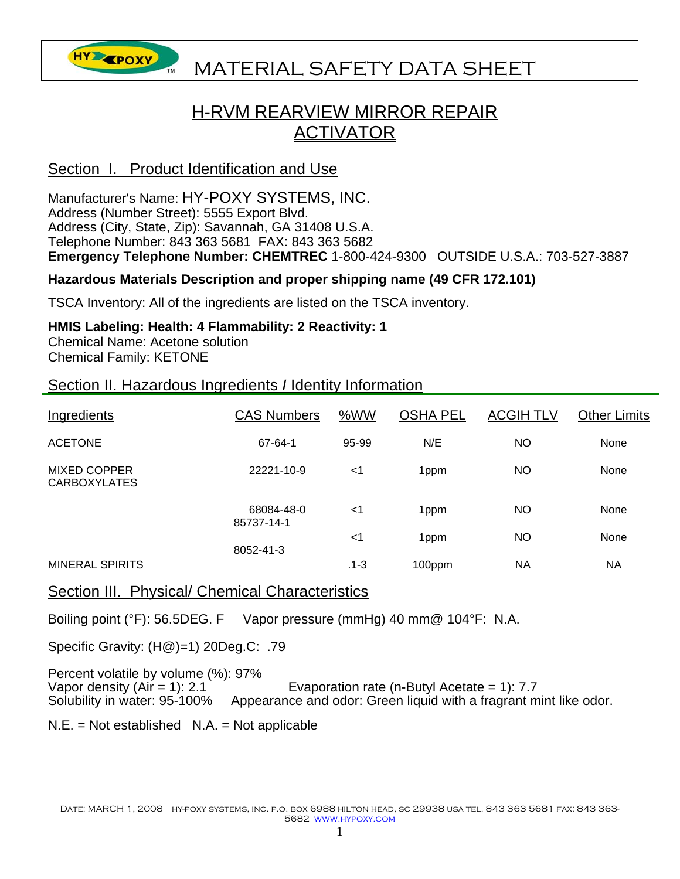## **HY EPOXY** MATERIAL SAFETY DATA SHEET

## H-RVM REARVIEW MIRROR REPAIR ACTIVATOR

## Section I. Product Identification and Use

Manufacturer's Name: HY-POXY SYSTEMS, INC. Address (Number Street): 5555 Export Blvd. Address (City, State, Zip): Savannah, GA 31408 U.S.A. Telephone Number: 843 363 5681 FAX: 843 363 5682 **Emergency Telephone Number: CHEMTREC** 1-800-424-9300 OUTSIDE U.S.A.: 703-527-3887

#### **Hazardous Materials Description and proper shipping name (49 CFR 172.101)**

TSCA Inventory: All of the ingredients are listed on the TSCA inventory.

**HMIS Labeling: Health: 4 Flammability: 2 Reactivity: 1**  Chemical Name: Acetone solution Chemical Family: KETONE

#### Section II. Hazardous Ingredients *I* Identity Information

| Ingredients                                | <b>CAS Numbers</b>       | %WW      | <b>OSHA PEL</b> | <b>ACGIH TLV</b> | <b>Other Limits</b> |
|--------------------------------------------|--------------------------|----------|-----------------|------------------|---------------------|
| <b>ACETONE</b>                             | 67-64-1                  | 95-99    | N/E             | <b>NO</b>        | None                |
| <b>MIXED COPPER</b><br><b>CARBOXYLATES</b> | 22221-10-9               | $<$ 1    | 1ppm            | <b>NO</b>        | None                |
|                                            | 68084-48-0<br>85737-14-1 | <1       | 1ppm            | <b>NO</b>        | None                |
|                                            | 8052-41-3                | $<$ 1    | 1ppm            | <b>NO</b>        | <b>None</b>         |
| <b>MINERAL SPIRITS</b>                     |                          | $.1 - 3$ | 100ppm          | <b>NA</b>        | <b>NA</b>           |

#### Section III. Physical/ Chemical Characteristics

Boiling point (°F): 56.5DEG. F Vapor pressure (mmHg) 40 mm@ 104°F: N.A.

Specific Gravity: (H@)=1) 20Deg.C: .79

Percent volatile by volume (%): 97% Vapor density  $(Air = 1)$ : 2.1 Evaporation rate  $(n-Butyl$  Acetate = 1): 7.7 Solubility in water: 95-100% Appearance and odor: Green liquid with a fragrant mint like odor.

 $N.E. = Not established N.A. = Not applicable$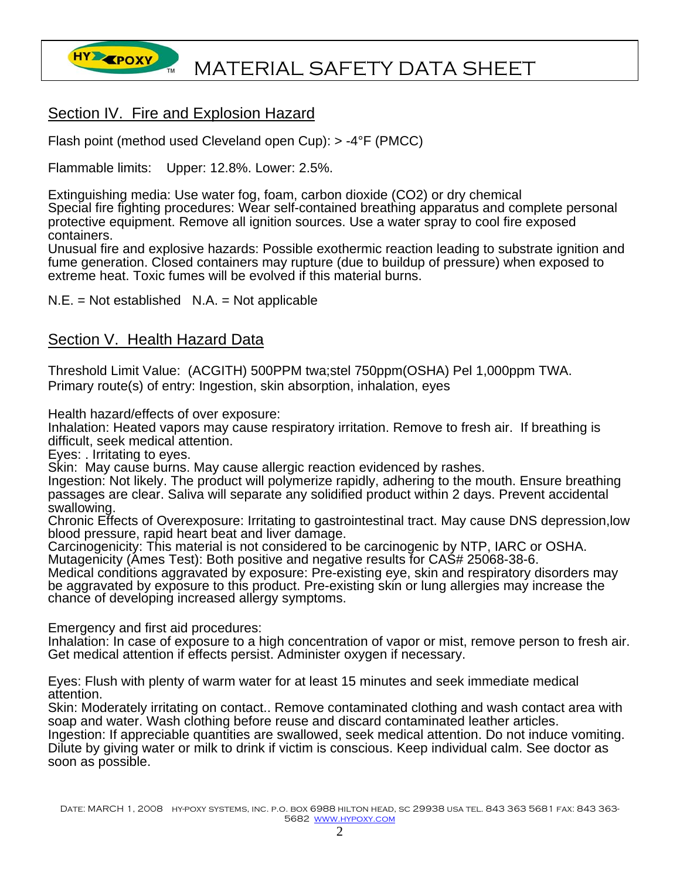

# HY TROXY MATERIAL SAFETY DATA SHEET

## Section IV. Fire and Explosion Hazard

Flash point (method used Cleveland open Cup): > -4°F (PMCC)

Flammable limits: Upper: 12.8%. Lower: 2.5%.

Extinguishing media: Use water fog, foam, carbon dioxide (CO2) or dry chemical Special fire fighting procedures: Wear self-contained breathing apparatus and complete personal protective equipment. Remove all ignition sources. Use a water spray to cool fire exposed containers.

Unusual fire and explosive hazards: Possible exothermic reaction leading to substrate ignition and fume generation. Closed containers may rupture (due to buildup of pressure) when exposed to extreme heat. Toxic fumes will be evolved if this material burns.

 $N.E. = Not established N.A. = Not applicable$ 

## Section V. Health Hazard Data

Threshold Limit Value: (ACGITH) 500PPM twa;stel 750ppm(OSHA) Pel 1,000ppm TWA. Primary route(s) of entry: Ingestion, skin absorption, inhalation, eyes

Health hazard/effects of over exposure:

Inhalation: Heated vapors may cause respiratory irritation. Remove to fresh air. If breathing is difficult, seek medical attention.

Eyes: . Irritating to eyes.

Skin: May cause burns. May cause allergic reaction evidenced by rashes.

Ingestion: Not likely. The product will polymerize rapidly, adhering to the mouth. Ensure breathing passages are clear. Saliva will separate any solidified product within 2 days. Prevent accidental swallowing.

Chronic Effects of Overexposure: Irritating to gastrointestinal tract. May cause DNS depression,low blood pressure, rapid heart beat and liver damage.

Carcinogenicity: This material is not considered to be carcinogenic by NTP, IARC or OSHA. Mutagenicity (Ames Test): Both positive and negative results for CAS# 25068-38-6.

Medical conditions aggravated by exposure: Pre-existing eye, skin and respiratory disorders may be aggravated by exposure to this product. Pre-existing skin or lung allergies may increase the chance of developing increased allergy symptoms.

Emergency and first aid procedures:

Inhalation: In case of exposure to a high concentration of vapor or mist, remove person to fresh air. Get medical attention if effects persist. Administer oxygen if necessary.

Eyes: Flush with plenty of warm water for at least 15 minutes and seek immediate medical attention.

Skin: Moderately irritating on contact.. Remove contaminated clothing and wash contact area with soap and water. Wash clothing before reuse and discard contaminated leather articles. Ingestion: If appreciable quantities are swallowed, seek medical attention. Do not induce vomiting. Dilute by giving water or milk to drink if victim is conscious. Keep individual calm. See doctor as soon as possible.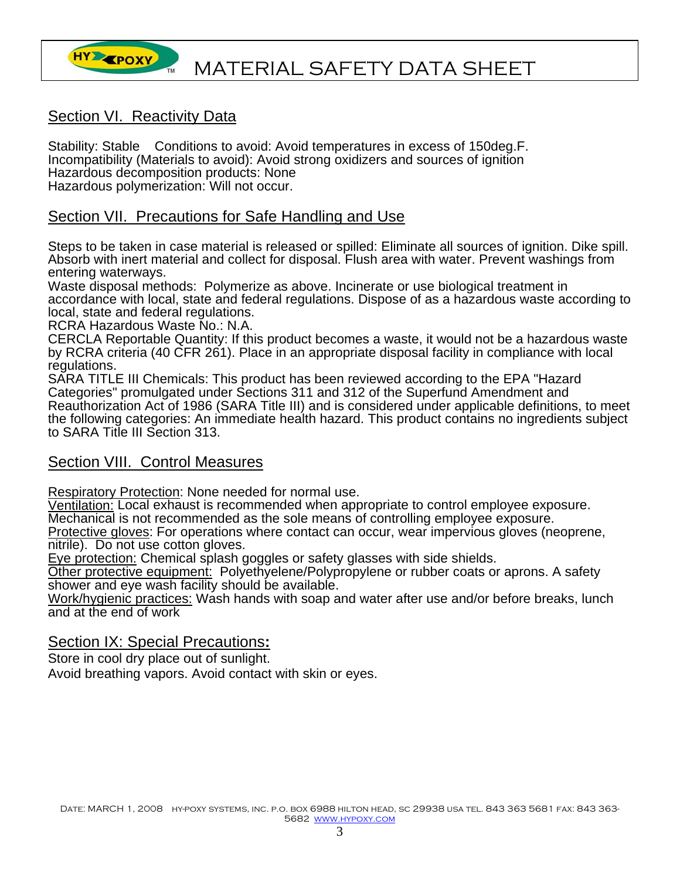**HYA KPOXY** MATERIAL SAFETY DATA SHEET

## Section VI. Reactivity Data

Stability: Stable Conditions to avoid: Avoid temperatures in excess of 150deg.F. Incompatibility (Materials to avoid): Avoid strong oxidizers and sources of ignition Hazardous decomposition products: None Hazardous polymerization: Will not occur.

#### Section VII. Precautions for Safe Handling and Use

Steps to be taken in case material is released or spilled: Eliminate all sources of ignition. Dike spill. Absorb with inert material and collect for disposal. Flush area with water. Prevent washings from entering waterways.

Waste disposal methods: Polymerize as above. Incinerate or use biological treatment in accordance with local, state and federal regulations. Dispose of as a hazardous waste according to local, state and federal regulations.

RCRA Hazardous Waste No.: N.A.

CERCLA Reportable Quantity: If this product becomes a waste, it would not be a hazardous waste by RCRA criteria (40 CFR 261). Place in an appropriate disposal facility in compliance with local regulations.

SARA TITLE III Chemicals: This product has been reviewed according to the EPA "Hazard Categories" promulgated under Sections 311 and 312 of the Superfund Amendment and Reauthorization Act of 1986 (SARA Title III) and is considered under applicable definitions, to meet the following categories: An immediate health hazard. This product contains no ingredients subject to SARA Title III Section 313.

## Section VIII. Control Measures

Respiratory Protection: None needed for normal use.

Ventilation: Local exhaust is recommended when appropriate to control employee exposure. Mechanical is not recommended as the sole means of controlling employee exposure. Protective gloves: For operations where contact can occur, wear impervious gloves (neoprene, nitrile). Do not use cotton gloves.

Eye protection: Chemical splash goggles or safety glasses with side shields.

Other protective equipment: Polyethyelene/Polypropylene or rubber coats or aprons. A safety shower and eye wash facility should be available.

Work/hygienic practices: Wash hands with soap and water after use and/or before breaks, lunch and at the end of work

Section IX: Special Precautions**:**

Store in cool dry place out of sunlight.

Avoid breathing vapors. Avoid contact with skin or eyes.